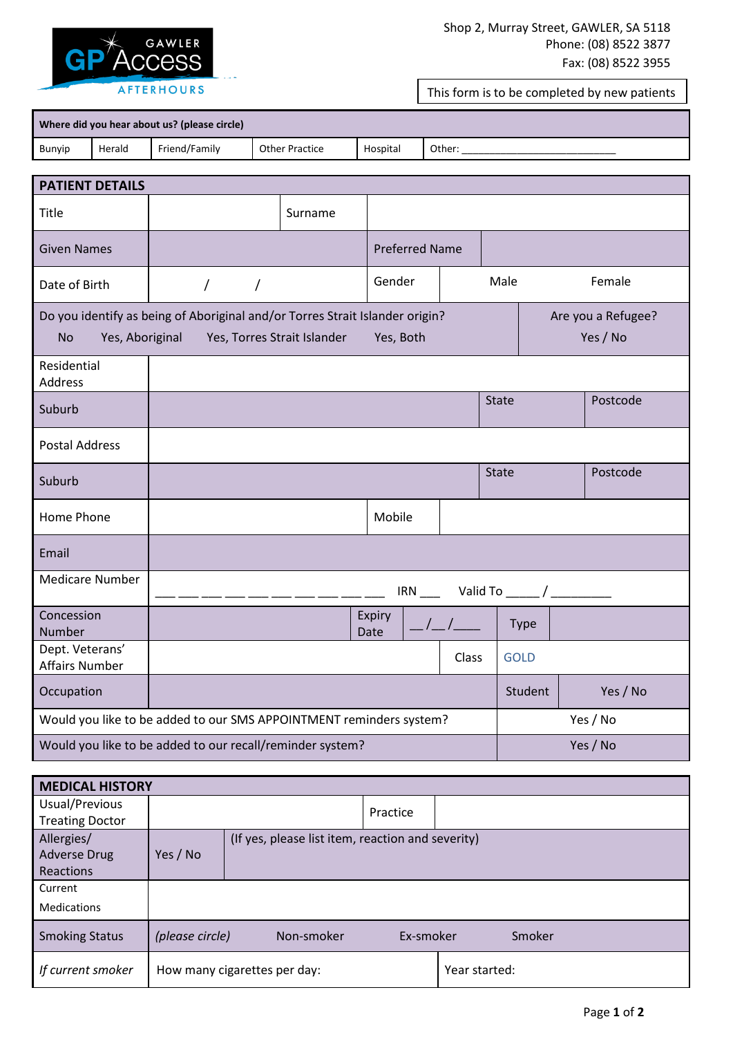

This form is to be completed by new patients

| Where did you hear about us? (please circle) |        |               |                |          |        |  |  |  |  |
|----------------------------------------------|--------|---------------|----------------|----------|--------|--|--|--|--|
| Bunyip                                       | Herald | Friend/Family | Other Practice | Hospital | Other: |  |  |  |  |

| <b>PATIENT DETAILS</b>                                              |                                                                                                             |                       |                |                                    |              |          |  |  |  |
|---------------------------------------------------------------------|-------------------------------------------------------------------------------------------------------------|-----------------------|----------------|------------------------------------|--------------|----------|--|--|--|
| Title                                                               |                                                                                                             | Surname               |                |                                    |              |          |  |  |  |
| <b>Given Names</b>                                                  |                                                                                                             | <b>Preferred Name</b> |                |                                    |              |          |  |  |  |
| Date of Birth                                                       | $\overline{ }$<br>$\sqrt{2}$                                                                                |                       | Male           | Female                             |              |          |  |  |  |
| <b>No</b><br>Yes, Aboriginal                                        | Do you identify as being of Aboriginal and/or Torres Strait Islander origin?<br>Yes, Torres Strait Islander |                       |                | Are you a Refugee?<br>Yes / No     |              |          |  |  |  |
| Residential<br><b>Address</b>                                       |                                                                                                             |                       |                |                                    |              |          |  |  |  |
| Suburb                                                              |                                                                                                             |                       |                |                                    | <b>State</b> | Postcode |  |  |  |
| <b>Postal Address</b>                                               |                                                                                                             |                       |                |                                    |              |          |  |  |  |
| Suburb                                                              |                                                                                                             |                       |                |                                    | <b>State</b> | Postcode |  |  |  |
| Home Phone                                                          |                                                                                                             |                       | Mobile         |                                    |              |          |  |  |  |
| Email                                                               |                                                                                                             |                       |                |                                    |              |          |  |  |  |
| <b>Medicare Number</b>                                              |                                                                                                             |                       |                |                                    |              |          |  |  |  |
| Concession<br>Number                                                |                                                                                                             |                       | Expiry<br>Date | $\frac{\frac{1}{2}}{2\frac{1}{2}}$ | Type         |          |  |  |  |
| Dept. Veterans'<br><b>Affairs Number</b>                            |                                                                                                             |                       |                | Class                              | <b>GOLD</b>  |          |  |  |  |
| Occupation                                                          |                                                                                                             |                       | Student        | Yes / No                           |              |          |  |  |  |
| Would you like to be added to our SMS APPOINTMENT reminders system? |                                                                                                             |                       |                |                                    |              | Yes / No |  |  |  |
| Would you like to be added to our recall/reminder system?           |                                                                                                             |                       |                |                                    |              | Yes / No |  |  |  |

| <b>MEDICAL HISTORY</b> |                               |                                                   |           |               |        |  |  |  |  |  |
|------------------------|-------------------------------|---------------------------------------------------|-----------|---------------|--------|--|--|--|--|--|
| Usual/Previous         |                               |                                                   | Practice  |               |        |  |  |  |  |  |
| <b>Treating Doctor</b> |                               |                                                   |           |               |        |  |  |  |  |  |
| Allergies/             |                               | (If yes, please list item, reaction and severity) |           |               |        |  |  |  |  |  |
| <b>Adverse Drug</b>    | Yes / No                      |                                                   |           |               |        |  |  |  |  |  |
| Reactions              |                               |                                                   |           |               |        |  |  |  |  |  |
| Current                |                               |                                                   |           |               |        |  |  |  |  |  |
| <b>Medications</b>     |                               |                                                   |           |               |        |  |  |  |  |  |
| <b>Smoking Status</b>  | (please circle)<br>Non-smoker |                                                   | Ex-smoker |               | Smoker |  |  |  |  |  |
| If current smoker      |                               | How many cigarettes per day:                      |           | Year started: |        |  |  |  |  |  |